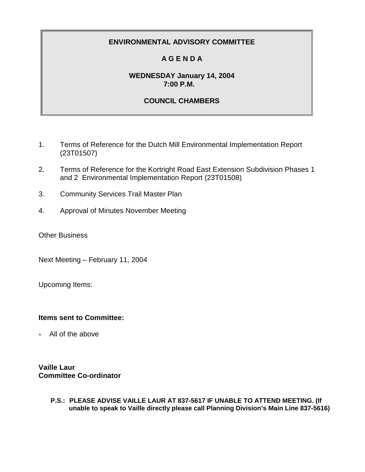# **A G E N D A**

## **WEDNESDAY January 14, 2004 7:00 P.M.**

# **COUNCIL CHAMBERS**

- 1. Terms of Reference for the Dutch Mill Environmental Implementation Report (23T01507)
- 2. Terms of Reference for the Kortright Road East Extension Subdivision Phases 1 and 2 Environmental Implementation Report (23T01508)
- 3. Community Services Trail Master Plan
- 4. Approval of Minutes November Meeting

Other Business

Next Meeting – February 11, 2004

Upcoming Items:

## **Items sent to Committee:**

• All of the above

**Vaille Laur Committee Co-ordinator**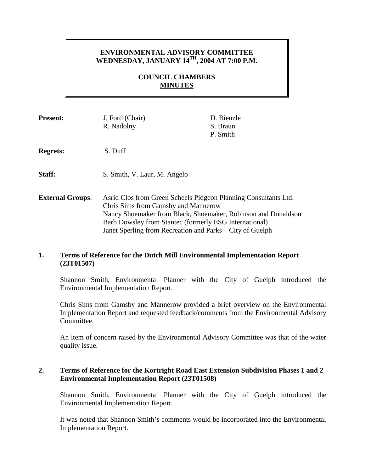## **ENVIRONMENTAL ADVISORY COMMITTEE WEDNESDAY, JANUARY 14TH, 2004 AT 7:00 P.M.**

# **COUNCIL CHAMBERS MINUTES**

| <b>Present:</b>         | J. Ford (Chair)<br>R. Nadolny                                                                                                                                                                                                                                                                  | D. Bienzle<br>S. Braun<br>P. Smith |
|-------------------------|------------------------------------------------------------------------------------------------------------------------------------------------------------------------------------------------------------------------------------------------------------------------------------------------|------------------------------------|
| <b>Regrets:</b>         | S. Duff                                                                                                                                                                                                                                                                                        |                                    |
| Staff:                  | S. Smith, V. Laur, M. Angelo                                                                                                                                                                                                                                                                   |                                    |
| <b>External Groups:</b> | Asrid Clos from Green Scheels Pidgeon Planning Consultants Ltd.<br>Chris Sims from Gamsby and Mannerow<br>Nancy Shoemaker from Black, Shoemaker, Robinson and Donaldson<br>Barb Dowsley from Stantec (formerly ESG International)<br>Janet Sperling from Recreation and Parks – City of Guelph |                                    |

## **1. Terms of Reference for the Dutch Mill Environmental Implementation Report (23T01507)**

Shannon Smith, Environmental Planner with the City of Guelph introduced the Environmental Implementation Report.

Chris Sims from Gamsby and Mannerow provided a brief overview on the Environmental Implementation Report and requested feedback/comments from the Environmental Advisory Committee.

An item of concern raised by the Environmental Advisory Committee was that of the water quality issue.

### **2. Terms of Reference for the Kortright Road East Extension Subdivision Phases 1 and 2 Environmental Implementation Report (23T01508)**

Shannon Smith, Environmental Planner with the City of Guelph introduced the Environmental Implementation Report.

It was noted that Shannon Smith's comments would be incorporated into the Environmental Implementation Report.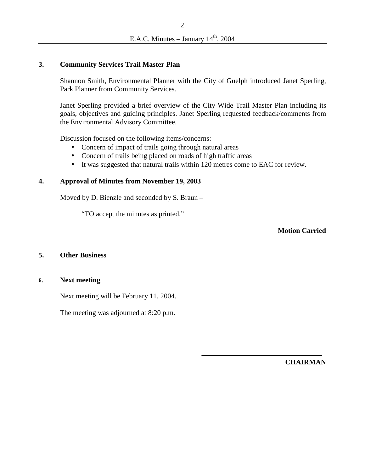#### **3. Community Services Trail Master Plan**

Shannon Smith, Environmental Planner with the City of Guelph introduced Janet Sperling, Park Planner from Community Services.

Janet Sperling provided a brief overview of the City Wide Trail Master Plan including its goals, objectives and guiding principles. Janet Sperling requested feedback/comments from the Environmental Advisory Committee.

Discussion focused on the following items/concerns:

- Concern of impact of trails going through natural areas
- Concern of trails being placed on roads of high traffic areas
- It was suggested that natural trails within 120 metres come to EAC for review.

#### **4. Approval of Minutes from November 19, 2003**

Moved by D. Bienzle and seconded by S. Braun –

"TO accept the minutes as printed."

**Motion Carried** 

#### **5. Other Business**

#### **6. Next meeting**

Next meeting will be February 11, 2004.

The meeting was adjourned at 8:20 p.m.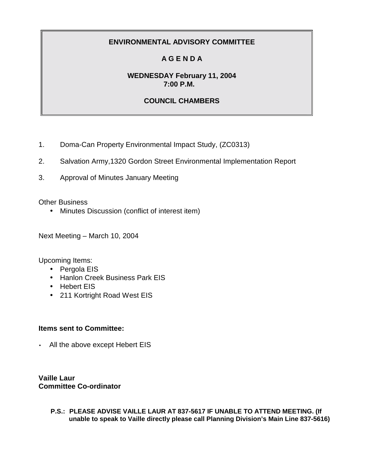# **A G E N D A**

# **WEDNESDAY February 11, 2004 7:00 P.M.**

# **COUNCIL CHAMBERS**

- 1. Doma-Can Property Environmental Impact Study, (ZC0313)
- 2. Salvation Army,1320 Gordon Street Environmental Implementation Report
- 3. Approval of Minutes January Meeting

Other Business

• Minutes Discussion (conflict of interest item)

Next Meeting – March 10, 2004

Upcoming Items:

- Pergola EIS
- Hanlon Creek Business Park EIS
- Hebert EIS
- 211 Kortright Road West EIS

## **Items sent to Committee:**

• All the above except Hebert EIS

**Vaille Laur Committee Co-ordinator**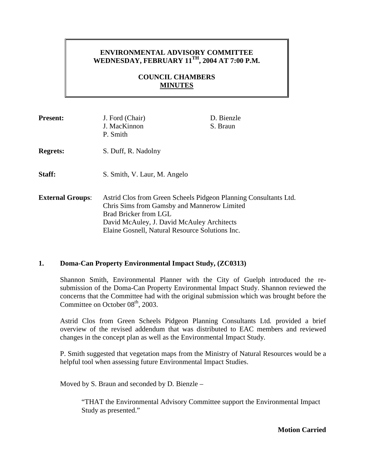## **ENVIRONMENTAL ADVISORY COMMITTEE WEDNESDAY, FEBRUARY 11TH, 2004 AT 7:00 P.M.**

# **COUNCIL CHAMBERS MINUTES**

| <b>Present:</b>         | J. Ford (Chair)<br>J. MacKinnon<br>P. Smith                                                                                                                                                                                               | D. Bienzle<br>S. Braun |
|-------------------------|-------------------------------------------------------------------------------------------------------------------------------------------------------------------------------------------------------------------------------------------|------------------------|
| <b>Regrets:</b>         | S. Duff, R. Nadolny                                                                                                                                                                                                                       |                        |
| Staff:                  | S. Smith, V. Laur, M. Angelo                                                                                                                                                                                                              |                        |
| <b>External Groups:</b> | Astrid Clos from Green Scheels Pidgeon Planning Consultants Ltd.<br>Chris Sims from Gamsby and Mannerow Limited<br>Brad Bricker from LGL<br>David McAuley, J. David McAuley Architects<br>Elaine Gosnell, Natural Resource Solutions Inc. |                        |

### **1. Doma-Can Property Environmental Impact Study, (ZC0313)**

Shannon Smith, Environmental Planner with the City of Guelph introduced the resubmission of the Doma-Can Property Environmental Impact Study. Shannon reviewed the concerns that the Committee had with the original submission which was brought before the Committee on October  $08<sup>th</sup>$ , 2003.

Astrid Clos from Green Scheels Pidgeon Planning Consultants Ltd*.* provided a brief overview of the revised addendum that was distributed to EAC members and reviewed changes in the concept plan as well as the Environmental Impact Study.

P. Smith suggested that vegetation maps from the Ministry of Natural Resources would be a helpful tool when assessing future Environmental Impact Studies.

Moved by S. Braun and seconded by D. Bienzle –

"THAT the Environmental Advisory Committee support the Environmental Impact Study as presented."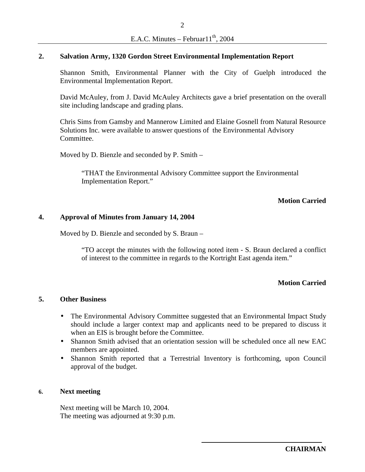#### **2. Salvation Army, 1320 Gordon Street Environmental Implementation Report**

Shannon Smith, Environmental Planner with the City of Guelph introduced the Environmental Implementation Report.

David McAuley, from J. David McAuley Architects gave a brief presentation on the overall site including landscape and grading plans.

Chris Sims from Gamsby and Mannerow Limited and Elaine Gosnell from Natural Resource Solutions Inc. were available to answer questions of the Environmental Advisory Committee.

Moved by D. Bienzle and seconded by P. Smith –

"THAT the Environmental Advisory Committee support the Environmental Implementation Report."

### **Motion Carried**

#### **4. Approval of Minutes from January 14, 2004**

Moved by D. Bienzle and seconded by S. Braun –

"TO accept the minutes with the following noted item - S. Braun declared a conflict of interest to the committee in regards to the Kortright East agenda item."

#### **Motion Carried**

#### **5. Other Business**

- The Environmental Advisory Committee suggested that an Environmental Impact Study should include a larger context map and applicants need to be prepared to discuss it when an EIS is brought before the Committee.
- Shannon Smith advised that an orientation session will be scheduled once all new EAC members are appointed.
- Shannon Smith reported that a Terrestrial Inventory is forthcoming, upon Council approval of the budget.

#### **6. Next meeting**

Next meeting will be March 10, 2004. The meeting was adjourned at 9:30 p.m.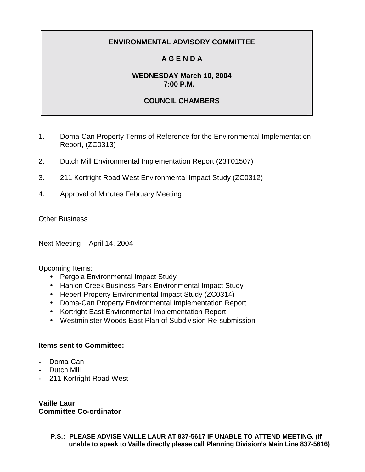# **A G E N D A**

# **WEDNESDAY March 10, 2004 7:00 P.M.**

# **COUNCIL CHAMBERS**

- 1. Doma-Can Property Terms of Reference for the Environmental Implementation Report, (ZC0313)
- 2. Dutch Mill Environmental Implementation Report (23T01507)
- 3. 211 Kortright Road West Environmental Impact Study (ZC0312)
- 4. Approval of Minutes February Meeting

Other Business

Next Meeting – April 14, 2004

Upcoming Items:

- Pergola Environmental Impact Study
- Hanlon Creek Business Park Environmental Impact Study
- Hebert Property Environmental Impact Study (ZC0314)
- Doma-Can Property Environmental Implementation Report
- Kortright East Environmental Implementation Report
- Westminister Woods East Plan of Subdivision Re-submission

## **Items sent to Committee:**

- Doma-Can
- Dutch Mill
- 211 Kortright Road West

**Vaille Laur Committee Co-ordinator**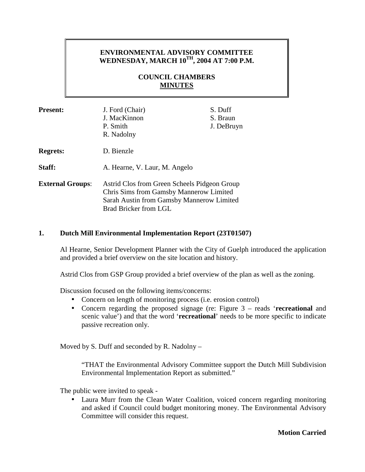## **ENVIRONMENTAL ADVISORY COMMITTEE WEDNESDAY, MARCH 10TH, 2004 AT 7:00 P.M.**

# **COUNCIL CHAMBERS MINUTES**

| <b>Present:</b>         | J. Ford (Chair)<br>J. MacKinnon<br>P. Smith<br>R. Nadolny                                                                                                     | S. Duff<br>S. Braun<br>J. DeBruyn |
|-------------------------|---------------------------------------------------------------------------------------------------------------------------------------------------------------|-----------------------------------|
| <b>Regrets:</b>         | D. Bienzle                                                                                                                                                    |                                   |
| Staff:                  | A. Hearne, V. Laur, M. Angelo                                                                                                                                 |                                   |
| <b>External Groups:</b> | Astrid Clos from Green Scheels Pidgeon Group<br>Chris Sims from Gamsby Mannerow Limited<br>Sarah Austin from Gamsby Mannerow Limited<br>Brad Bricker from LGL |                                   |

### **1. Dutch Mill Environmental Implementation Report (23T01507)**

Al Hearne, Senior Development Planner with the City of Guelph introduced the application and provided a brief overview on the site location and history.

Astrid Clos from GSP Group provided a brief overview of the plan as well as the zoning.

Discussion focused on the following items/concerns:

- Concern on length of monitoring process (i.e. erosion control)
- Concern regarding the proposed signage (re: Figure 3 reads '**recreational** and scenic value') and that the word '**recreational**' needs to be more specific to indicate passive recreation only.

Moved by S. Duff and seconded by R. Nadolny –

"THAT the Environmental Advisory Committee support the Dutch Mill Subdivision Environmental Implementation Report as submitted."

The public were invited to speak -

• Laura Murr from the Clean Water Coalition, voiced concern regarding monitoring and asked if Council could budget monitoring money. The Environmental Advisory Committee will consider this request.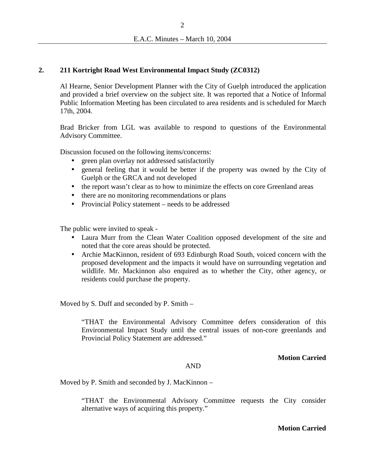### **2. 211 Kortright Road West Environmental Impact Study (ZC0312)**

Al Hearne, Senior Development Planner with the City of Guelph introduced the application and provided a brief overview on the subject site. It was reported that a Notice of Informal Public Information Meeting has been circulated to area residents and is scheduled for March 17th, 2004.

Brad Bricker from LGL was available to respond to questions of the Environmental Advisory Committee.

Discussion focused on the following items/concerns:

- green plan overlay not addressed satisfactorily
- general feeling that it would be better if the property was owned by the City of Guelph or the GRCA and not developed
- the report wasn't clear as to how to minimize the effects on core Greenland areas
- there are no monitoring recommendations or plans
- Provincial Policy statement needs to be addressed

The public were invited to speak -

- Laura Murr from the Clean Water Coalition opposed development of the site and noted that the core areas should be protected.
- Archie MacKinnon, resident of 693 Edinburgh Road South, voiced concern with the proposed development and the impacts it would have on surrounding vegetation and wildlife. Mr. Mackinnon also enquired as to whether the City, other agency, or residents could purchase the property.

Moved by S. Duff and seconded by P. Smith –

"THAT the Environmental Advisory Committee defers consideration of this Environmental Impact Study until the central issues of non-core greenlands and Provincial Policy Statement are addressed."

**Motion Carried** 

#### AND

Moved by P. Smith and seconded by J. MacKinnon –

"THAT the Environmental Advisory Committee requests the City consider alternative ways of acquiring this property."

**Motion Carried**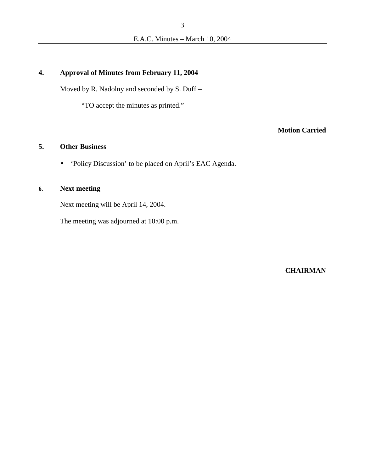### **4. Approval of Minutes from February 11, 2004**

Moved by R. Nadolny and seconded by S. Duff –

"TO accept the minutes as printed."

# **Motion Carried**

## **5. Other Business**

• 'Policy Discussion' to be placed on April's EAC Agenda.

# **6. Next meeting**

Next meeting will be April 14, 2004.

The meeting was adjourned at 10:00 p.m.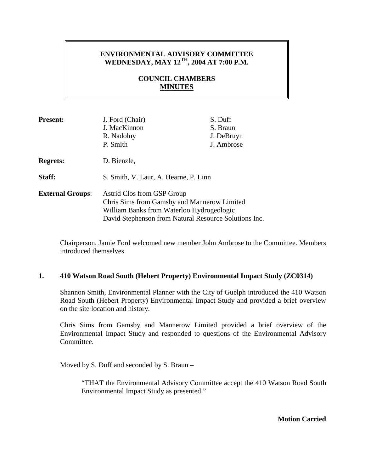## **ENVIRONMENTAL ADVISORY COMMITTEE**  WEDNESDAY, MAY 12<sup>TH</sup>, 2004 AT 7:00 P.M.

# **COUNCIL CHAMBERS MINUTES**

| <b>Present:</b>         | J. Ford (Chair)<br>J. MacKinnon<br>R. Nadolny<br>P. Smith                                                                                                                       | S. Duff<br>S. Braun<br>J. DeBruyn<br>J. Ambrose |
|-------------------------|---------------------------------------------------------------------------------------------------------------------------------------------------------------------------------|-------------------------------------------------|
| <b>Regrets:</b>         | D. Bienzle,                                                                                                                                                                     |                                                 |
| Staff:                  | S. Smith, V. Laur, A. Hearne, P. Linn                                                                                                                                           |                                                 |
| <b>External Groups:</b> | Astrid Clos from GSP Group<br>Chris Sims from Gamsby and Mannerow Limited<br>William Banks from Waterloo Hydrogeologic<br>David Stephenson from Natural Resource Solutions Inc. |                                                 |

Chairperson, Jamie Ford welcomed new member John Ambrose to the Committee. Members introduced themselves

### **1. 410 Watson Road South (Hebert Property) Environmental Impact Study (ZC0314)**

Shannon Smith, Environmental Planner with the City of Guelph introduced the 410 Watson Road South (Hebert Property) Environmental Impact Study and provided a brief overview on the site location and history.

Chris Sims from Gamsby and Mannerow Limited provided a brief overview of the Environmental Impact Study and responded to questions of the Environmental Advisory Committee.

Moved by S. Duff and seconded by S. Braun –

"THAT the Environmental Advisory Committee accept the 410 Watson Road South Environmental Impact Study as presented."

**Motion Carried**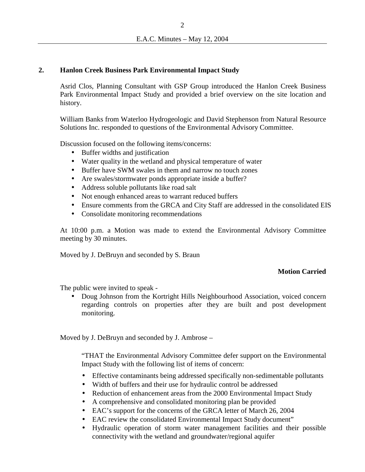### **2. Hanlon Creek Business Park Environmental Impact Study**

Asrid Clos, Planning Consultant with GSP Group introduced the Hanlon Creek Business Park Environmental Impact Study and provided a brief overview on the site location and history.

William Banks from Waterloo Hydrogeologic and David Stephenson from Natural Resource Solutions Inc. responded to questions of the Environmental Advisory Committee.

Discussion focused on the following items/concerns:

- Buffer widths and justification
- Water quality in the wetland and physical temperature of water
- Buffer have SWM swales in them and narrow no touch zones
- Are swales/stormwater ponds appropriate inside a buffer?
- Address soluble pollutants like road salt
- Not enough enhanced areas to warrant reduced buffers
- Ensure comments from the GRCA and City Staff are addressed in the consolidated EIS
- Consolidate monitoring recommendations

At 10:00 p.m. a Motion was made to extend the Environmental Advisory Committee meeting by 30 minutes.

Moved by J. DeBruyn and seconded by S. Braun

### **Motion Carried**

The public were invited to speak -

• Doug Johnson from the Kortright Hills Neighbourhood Association, voiced concern regarding controls on properties after they are built and post development monitoring.

Moved by J. DeBruyn and seconded by J. Ambrose –

"THAT the Environmental Advisory Committee defer support on the Environmental Impact Study with the following list of items of concern:

- Effective contaminants being addressed specifically non-sedimentable pollutants
- Width of buffers and their use for hydraulic control be addressed
- Reduction of enhancement areas from the 2000 Environmental Impact Study
- A comprehensive and consolidated monitoring plan be provided
- EAC's support for the concerns of the GRCA letter of March 26, 2004
- EAC review the consolidated Environmental Impact Study document"
- Hydraulic operation of storm water management facilities and their possible connectivity with the wetland and groundwater/regional aquifer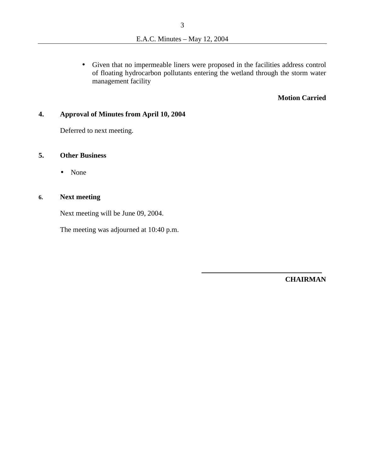• Given that no impermeable liners were proposed in the facilities address control of floating hydrocarbon pollutants entering the wetland through the storm water management facility

#### **Motion Carried**

### **4. Approval of Minutes from April 10, 2004**

Deferred to next meeting.

### **5. Other Business**

• None

# **6. Next meeting**

Next meeting will be June 09, 2004.

The meeting was adjourned at 10:40 p.m.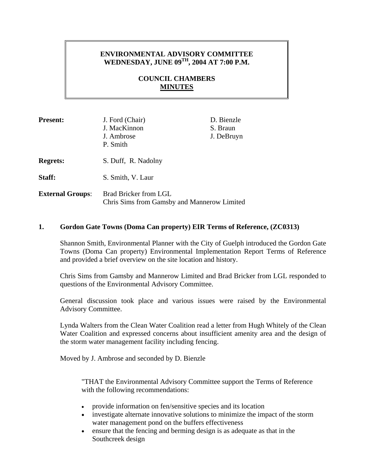# **ENVIRONMENTAL ADVISORY COMMITTEE WEDNESDAY, JUNE 09TH, 2004 AT 7:00 P.M.**

# **COUNCIL CHAMBERS MINUTES**

| <b>Present:</b>         | J. Ford (Chair)<br>J. MacKinnon<br>J. Ambrose<br>P. Smith            | D. Bienzle<br>S. Braun<br>J. DeBruyn |
|-------------------------|----------------------------------------------------------------------|--------------------------------------|
| <b>Regrets:</b>         | S. Duff, R. Nadolny                                                  |                                      |
| Staff:                  | S. Smith, V. Laur                                                    |                                      |
| <b>External Groups:</b> | Brad Bricker from LGL<br>Chris Sims from Gamsby and Mannerow Limited |                                      |

### **1. Gordon Gate Towns (Doma Can property) EIR Terms of Reference, (ZC0313)**

Shannon Smith, Environmental Planner with the City of Guelph introduced the Gordon Gate Towns (Doma Can property) Environmental Implementation Report Terms of Reference and provided a brief overview on the site location and history.

Chris Sims from Gamsby and Mannerow Limited and Brad Bricker from LGL responded to questions of the Environmental Advisory Committee.

General discussion took place and various issues were raised by the Environmental Advisory Committee.

Lynda Walters from the Clean Water Coalition read a letter from Hugh Whitely of the Clean Water Coalition and expressed concerns about insufficient amenity area and the design of the storm water management facility including fencing.

Moved by J. Ambrose and seconded by D. Bienzle

"THAT the Environmental Advisory Committee support the Terms of Reference with the following recommendations:

- provide information on fen/sensitive species and its location
- investigate alternate innovative solutions to minimize the impact of the storm water management pond on the buffers effectiveness
- ensure that the fencing and berming design is as adequate as that in the Southcreek design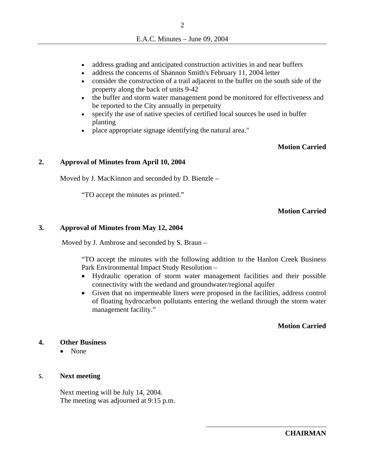- address grading and anticipated construction activities in and near buffers
- address the concerns of Shannon Smith's February 11, 2004 letter
- consider the construction of a trail adjacent to the buffer on the south side of the property along the back of units 9-42
- the buffer and storm water management pond be monitored for effectiveness and be reported to the City annually in perpetuity
- specify the use of native species of certified local sources be used in buffer planting
- place appropriate signage identifying the natural area."

### **Motion Carried**

#### **2. Approval of Minutes from April 10, 2004**

Moved by J. MacKinnon and seconded by D. Bienzle –

"TO accept the minutes as printed."

### **Motion Carried**

#### **3. Approval of Minutes from May 12, 2004**

Moved by J. Ambrose and seconded by S. Braun –

"TO accept the minutes with the following addition to the Hanlon Creek Business Park Environmental Impact Study Resolution –

- Hydraulic operation of storm water management facilities and their possible connectivity with the wetland and groundwater/regional aquifer
- Given that no impermeable liners were proposed in the facilities, address control of floating hydrocarbon pollutants entering the wetland through the storm water management facility."

### **Motion Carried**

### **4. Other Business**

• None

#### **5. Next meeting**

Next meeting will be July 14, 2004. The meeting was adjourned at 9:15 p.m.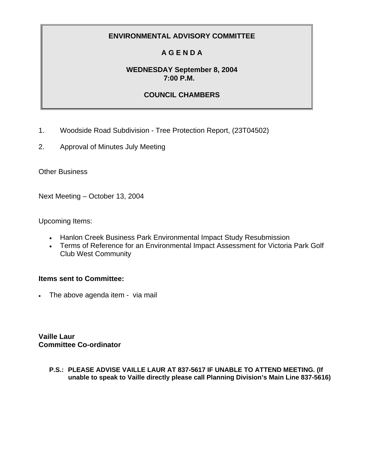# **A G E N D A**

## **WEDNESDAY September 8, 2004 7:00 P.M.**

# **COUNCIL CHAMBERS**

- 1. Woodside Road Subdivision Tree Protection Report, (23T04502)
- 2. Approval of Minutes July Meeting

Other Business

Next Meeting – October 13, 2004

Upcoming Items:

- Hanlon Creek Business Park Environmental Impact Study Resubmission
- Terms of Reference for an Environmental Impact Assessment for Victoria Park Golf Club West Community

## **Items sent to Committee:**

• The above agenda item - via mail

**Vaille Laur Committee Co-ordinator**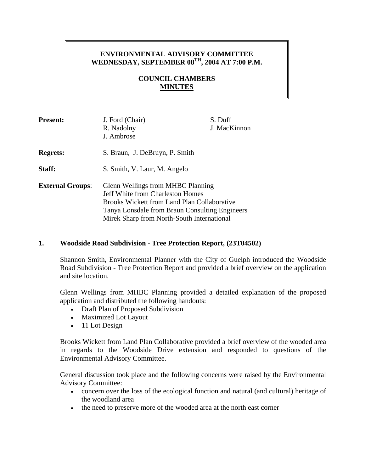# **ENVIRONMENTAL ADVISORY COMMITTEE**  WEDNESDAY, SEPTEMBER 08<sup>TH</sup>, 2004 AT 7:00 P.M.

# **COUNCIL CHAMBERS MINUTES**

| <b>Present:</b>         | J. Ford (Chair)<br>R. Nadolny<br>J. Ambrose                                                                                                                                                                                        | S. Duff<br>J. MacKinnon |
|-------------------------|------------------------------------------------------------------------------------------------------------------------------------------------------------------------------------------------------------------------------------|-------------------------|
| <b>Regrets:</b>         | S. Braun, J. DeBruyn, P. Smith                                                                                                                                                                                                     |                         |
| Staff:                  | S. Smith, V. Laur, M. Angelo                                                                                                                                                                                                       |                         |
| <b>External Groups:</b> | Glenn Wellings from MHBC Planning<br><b>Jeff White from Charleston Homes</b><br><b>Brooks Wickett from Land Plan Collaborative</b><br>Tanya Lonsdale from Braun Consulting Engineers<br>Mirek Sharp from North-South International |                         |

### **1. Woodside Road Subdivision - Tree Protection Report, (23T04502)**

Shannon Smith, Environmental Planner with the City of Guelph introduced the Woodside Road Subdivision - Tree Protection Report and provided a brief overview on the application and site location.

Glenn Wellings from MHBC Planning provided a detailed explanation of the proposed application and distributed the following handouts:

- Draft Plan of Proposed Subdivision
- Maximized Lot Layout
- 11 Lot Design

Brooks Wickett from Land Plan Collaborative provided a brief overview of the wooded area in regards to the Woodside Drive extension and responded to questions of the Environmental Advisory Committee.

General discussion took place and the following concerns were raised by the Environmental Advisory Committee:

- concern over the loss of the ecological function and natural (and cultural) heritage of the woodland area
- the need to preserve more of the wooded area at the north east corner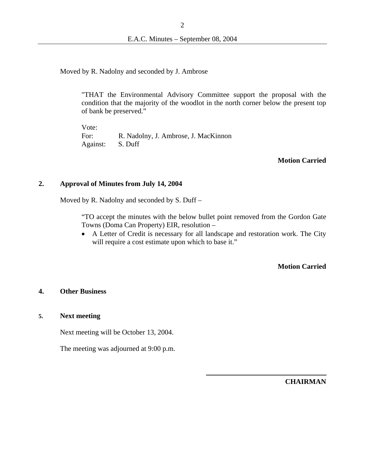Moved by R. Nadolny and seconded by J. Ambrose

"THAT the Environmental Advisory Committee support the proposal with the condition that the majority of the woodlot in the north corner below the present top of bank be preserved."

Vote: For: R. Nadolny, J. Ambrose, J. MacKinnon Against: S. Duff

#### **Motion Carried**

#### **2. Approval of Minutes from July 14, 2004**

Moved by R. Nadolny and seconded by S. Duff –

"TO accept the minutes with the below bullet point removed from the Gordon Gate Towns (Doma Can Property) EIR, resolution –

• A Letter of Credit is necessary for all landscape and restoration work. The City will require a cost estimate upon which to base it."

### **Motion Carried**

#### **4. Other Business**

#### **5. Next meeting**

Next meeting will be October 13, 2004.

The meeting was adjourned at 9:00 p.m.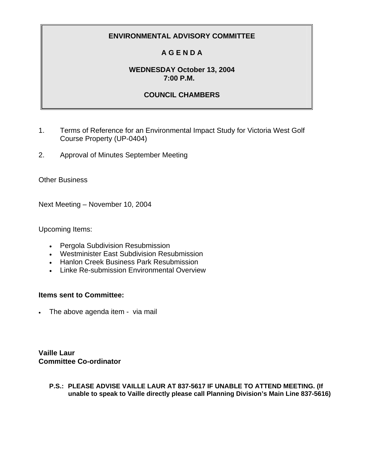# **A G E N D A**

# **WEDNESDAY October 13, 2004 7:00 P.M.**

# **COUNCIL CHAMBERS**

- 1. Terms of Reference for an Environmental Impact Study for Victoria West Golf Course Property (UP-0404)
- 2. Approval of Minutes September Meeting

Other Business

Next Meeting – November 10, 2004

Upcoming Items:

- Pergola Subdivision Resubmission
- Westminister East Subdivision Resubmission
- Hanlon Creek Business Park Resubmission
- Linke Re-submission Environmental Overview

## **Items sent to Committee:**

• The above agenda item - via mail

**Vaille Laur Committee Co-ordinator**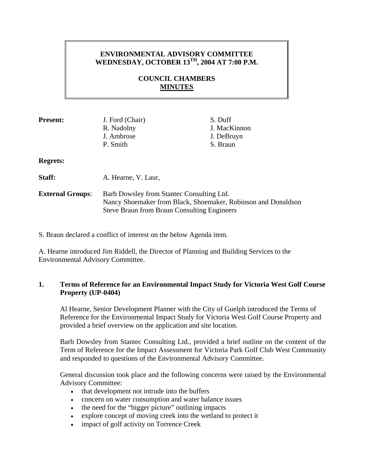# **ENVIRONMENTAL ADVISORY COMMITTEE WEDNESDAY, OCTOBER 13TH, 2004 AT 7:00 P.M.**

# **COUNCIL CHAMBERS MINUTES**

| <b>Present:</b>         | J. Ford (Chair)<br>R. Nadolny<br>J. Ambrose<br>P. Smith                                                                                                          | S. Duff<br>J. MacKinnon<br>J. DeBruyn<br>S. Braun |
|-------------------------|------------------------------------------------------------------------------------------------------------------------------------------------------------------|---------------------------------------------------|
| <b>Regrets:</b>         |                                                                                                                                                                  |                                                   |
| Staff:                  | A. Hearne, V. Laur,                                                                                                                                              |                                                   |
| <b>External Groups:</b> | Barb Dowsley from Stantec Consulting Ltd.<br>Nancy Shoemaker from Black, Shoemaker, Robinson and Donaldson<br><b>Steve Braun from Braun Consulting Engineers</b> |                                                   |

S. Braun declared a conflict of interest on the below Agenda item.

A. Hearne introduced Jim Riddell, the Director of Planning and Building Services to the Environmental Advisory Committee.

## **1. Terms of Reference for an Environmental Impact Study for Victoria West Golf Course Property (UP-0404)**

Al Hearne, Senior Development Planner with the City of Guelph introduced the Terms of Reference for the Environmental Impact Study for Victoria West Golf Course Property and provided a brief overview on the application and site location.

Barb Dowsley from Stantec Consulting Ltd., provided a brief outline on the content of the Term of Reference for the Impact Assessment for Victoria Park Golf Club West Community and responded to questions of the Environmental Advisory Committee.

General discussion took place and the following concerns were raised by the Environmental Advisory Committee:

- that development not intrude into the buffers
- concern on water consumption and water balance issues
- the need for the "bigger picture" outlining impacts
- explore concept of moving creek into the wetland to protect it
- impact of golf activity on Torrence Creek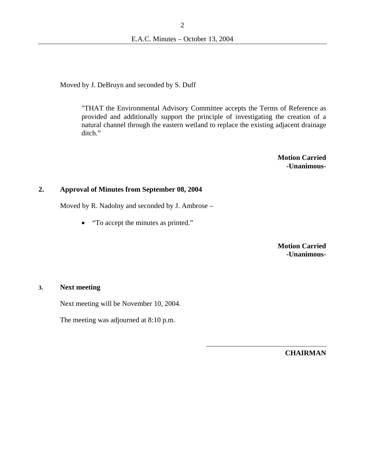Moved by J. DeBruyn and seconded by S. Duff

"THAT the Environmental Advisory Committee accepts the Terms of Reference as provided and additionally support the principle of investigating the creation of a natural channel through the eastern wetland to replace the existing adjacent drainage ditch."

> **Motion Carried -Unanimous-**

#### **2. Approval of Minutes from September 08, 2004**

Moved by R. Nadolny and seconded by J. Ambrose –

• "To accept the minutes as printed."

**Motion Carried -Unanimous-**

#### **3. Next meeting**

Next meeting will be November 10, 2004.

The meeting was adjourned at 8:10 p.m.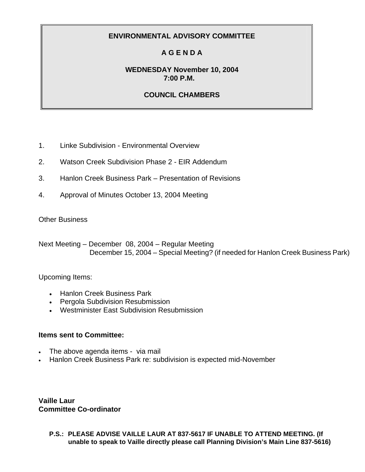# **A G E N D A**

## **WEDNESDAY November 10, 2004 7:00 P.M.**

# **COUNCIL CHAMBERS**

- 1. Linke Subdivision Environmental Overview
- 2. Watson Creek Subdivision Phase 2 EIR Addendum
- 3. Hanlon Creek Business Park Presentation of Revisions
- 4. Approval of Minutes October 13, 2004 Meeting

### Other Business

Next Meeting – December 08, 2004 – Regular Meeting December 15, 2004 – Special Meeting? (if needed for Hanlon Creek Business Park)

## Upcoming Items:

- Hanlon Creek Business Park
- Pergola Subdivision Resubmission
- Westminister East Subdivision Resubmission

## **Items sent to Committee:**

- The above agenda items via mail
- Hanlon Creek Business Park re: subdivision is expected mid-November

**Vaille Laur Committee Co-ordinator**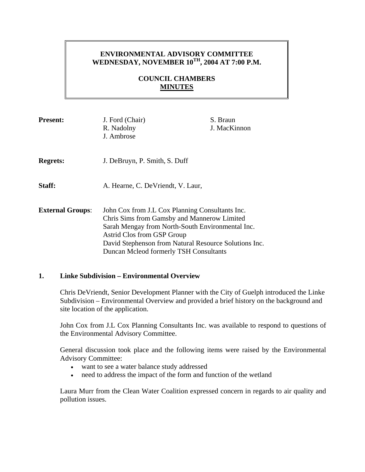# **ENVIRONMENTAL ADVISORY COMMITTEE**  WEDNESDAY, NOVEMBER 10<sup>TH</sup>, 2004 AT 7:00 P.M.

# **COUNCIL CHAMBERS MINUTES**

| <b>Present:</b>         | J. Ford (Chair)<br>R. Nadolny<br>J. Ambrose                                                                                                                                                                                                                                         | S. Braun<br>J. MacKinnon |
|-------------------------|-------------------------------------------------------------------------------------------------------------------------------------------------------------------------------------------------------------------------------------------------------------------------------------|--------------------------|
| <b>Regrets:</b>         | J. DeBruyn, P. Smith, S. Duff                                                                                                                                                                                                                                                       |                          |
| Staff:                  | A. Hearne, C. De Vriendt, V. Laur,                                                                                                                                                                                                                                                  |                          |
| <b>External Groups:</b> | John Cox from J.L Cox Planning Consultants Inc.<br>Chris Sims from Gamsby and Mannerow Limited<br>Sarah Mengay from North-South Environmental Inc.<br>Astrid Clos from GSP Group<br>David Stephenson from Natural Resource Solutions Inc.<br>Duncan Mcleod formerly TSH Consultants |                          |

### **1. Linke Subdivision – Environmental Overview**

Chris DeVriendt, Senior Development Planner with the City of Guelph introduced the Linke Subdivision – Environmental Overview and provided a brief history on the background and site location of the application.

John Cox from J.L Cox Planning Consultants Inc. was available to respond to questions of the Environmental Advisory Committee.

General discussion took place and the following items were raised by the Environmental Advisory Committee:

- want to see a water balance study addressed
- need to address the impact of the form and function of the wetland

Laura Murr from the Clean Water Coalition expressed concern in regards to air quality and pollution issues.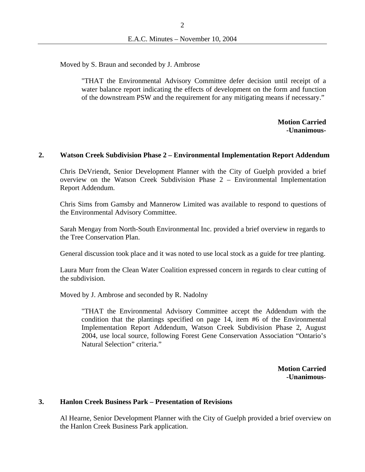Moved by S. Braun and seconded by J. Ambrose

"THAT the Environmental Advisory Committee defer decision until receipt of a water balance report indicating the effects of development on the form and function of the downstream PSW and the requirement for any mitigating means if necessary."

> **Motion Carried -Unanimous-**

### **2. Watson Creek Subdivision Phase 2 – Environmental Implementation Report Addendum**

Chris DeVriendt, Senior Development Planner with the City of Guelph provided a brief overview on the Watson Creek Subdivision Phase 2 – Environmental Implementation Report Addendum.

Chris Sims from Gamsby and Mannerow Limited was available to respond to questions of the Environmental Advisory Committee.

Sarah Mengay from North-South Environmental Inc. provided a brief overview in regards to the Tree Conservation Plan.

General discussion took place and it was noted to use local stock as a guide for tree planting.

Laura Murr from the Clean Water Coalition expressed concern in regards to clear cutting of the subdivision.

Moved by J. Ambrose and seconded by R. Nadolny

"THAT the Environmental Advisory Committee accept the Addendum with the condition that the plantings specified on page 14, item #6 of the Environmental Implementation Report Addendum, Watson Creek Subdivision Phase 2, August 2004, use local source, following Forest Gene Conservation Association "Ontario's Natural Selection" criteria."

> **Motion Carried -Unanimous-**

#### **3. Hanlon Creek Business Park – Presentation of Revisions**

Al Hearne, Senior Development Planner with the City of Guelph provided a brief overview on the Hanlon Creek Business Park application.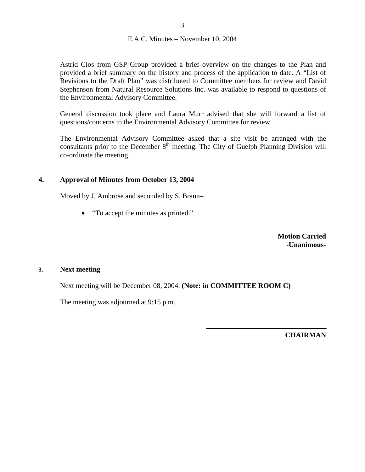Astrid Clos from GSP Group provided a brief overview on the changes to the Plan and provided a brief summary on the history and process of the application to date. A "List of Revisions to the Draft Plan" was distributed to Committee members for review and David Stephenson from Natural Resource Solutions Inc. was available to respond to questions of the Environmental Advisory Committee.

General discussion took place and Laura Murr advised that she will forward a list of questions/concerns to the Environmental Advisory Committee for review.

The Environmental Advisory Committee asked that a site visit be arranged with the consultants prior to the December  $8<sup>th</sup>$  meeting. The City of Guelph Planning Division will co-ordinate the meeting.

### **4. Approval of Minutes from October 13, 2004**

Moved by J. Ambrose and seconded by S. Braun–

• "To accept the minutes as printed."

**Motion Carried -Unanimous-**

#### **3. Next meeting**

Next meeting will be December 08, 2004. **(Note: in COMMITTEE ROOM C)**

The meeting was adjourned at 9:15 p.m.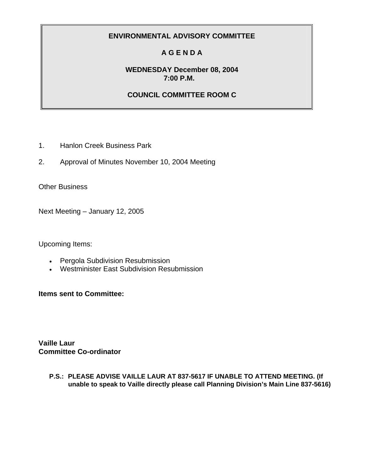# **A G E N D A**

# **WEDNESDAY December 08, 2004 7:00 P.M.**

## **COUNCIL COMMITTEE ROOM C**

- 1. Hanlon Creek Business Park
- 2. Approval of Minutes November 10, 2004 Meeting

Other Business

Next Meeting – January 12, 2005

Upcoming Items:

- Pergola Subdivision Resubmission
- Westminister East Subdivision Resubmission

**Items sent to Committee:** 

**Vaille Laur Committee Co-ordinator**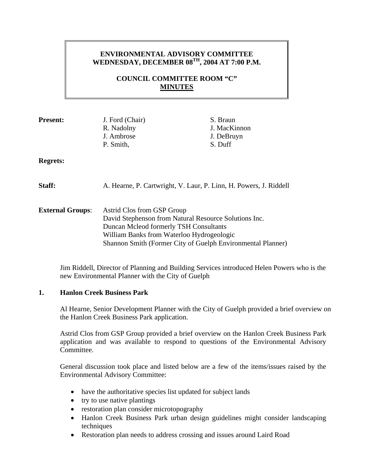# **ENVIRONMENTAL ADVISORY COMMITTEE WEDNESDAY, DECEMBER 08TH, 2004 AT 7:00 P.M.**

# **COUNCIL COMMITTEE ROOM "C" MINUTES**

| <b>Present:</b>         | J. Ford (Chair)<br>R. Nadolny<br>J. Ambrose<br>P. Smith,                                                                                                                                                                                  | S. Braun<br>J. MacKinnon<br>J. DeBruyn<br>S. Duff |
|-------------------------|-------------------------------------------------------------------------------------------------------------------------------------------------------------------------------------------------------------------------------------------|---------------------------------------------------|
| <b>Regrets:</b>         |                                                                                                                                                                                                                                           |                                                   |
| Staff:                  | A. Hearne, P. Cartwright, V. Laur, P. Linn, H. Powers, J. Riddell                                                                                                                                                                         |                                                   |
| <b>External Groups:</b> | Astrid Clos from GSP Group<br>David Stephenson from Natural Resource Solutions Inc.<br>Duncan Mcleod formerly TSH Consultants<br>William Banks from Waterloo Hydrogeologic<br>Shannon Smith (Former City of Guelph Environmental Planner) |                                                   |

Jim Riddell, Director of Planning and Building Services introduced Helen Powers who is the new Environmental Planner with the City of Guelph

### **1. Hanlon Creek Business Park**

Al Hearne, Senior Development Planner with the City of Guelph provided a brief overview on the Hanlon Creek Business Park application.

Astrid Clos from GSP Group provided a brief overview on the Hanlon Creek Business Park application and was available to respond to questions of the Environmental Advisory Committee.

General discussion took place and listed below are a few of the items/issues raised by the Environmental Advisory Committee:

- have the authoritative species list updated for subject lands
- try to use native plantings
- restoration plan consider microtopography
- Hanlon Creek Business Park urban design guidelines might consider landscaping techniques
- Restoration plan needs to address crossing and issues around Laird Road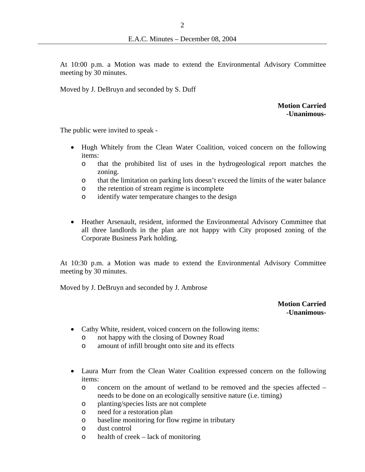At 10:00 p.m. a Motion was made to extend the Environmental Advisory Committee meeting by 30 minutes.

Moved by J. DeBruyn and seconded by S. Duff

### **Motion Carried -Unanimous-**

The public were invited to speak -

- Hugh Whitely from the Clean Water Coalition, voiced concern on the following items:
	- o that the prohibited list of uses in the hydrogeological report matches the zoning.
	- o that the limitation on parking lots doesn't exceed the limits of the water balance
	- o the retention of stream regime is incomplete
	- o identify water temperature changes to the design
- Heather Arsenault, resident, informed the Environmental Advisory Committee that all three landlords in the plan are not happy with City proposed zoning of the Corporate Business Park holding.

At 10:30 p.m. a Motion was made to extend the Environmental Advisory Committee meeting by 30 minutes.

Moved by J. DeBruyn and seconded by J. Ambrose

**Motion Carried -Unanimous-** 

- Cathy White, resident, voiced concern on the following items:
	- o not happy with the closing of Downey Road
	- o amount of infill brought onto site and its effects
- Laura Murr from the Clean Water Coalition expressed concern on the following items:
	- o concern on the amount of wetland to be removed and the species affected needs to be done on an ecologically sensitive nature (i.e. timing)
	- o planting/species lists are not complete
	- o need for a restoration plan
	- o baseline monitoring for flow regime in tributary
	- o dust control
	- o health of creek lack of monitoring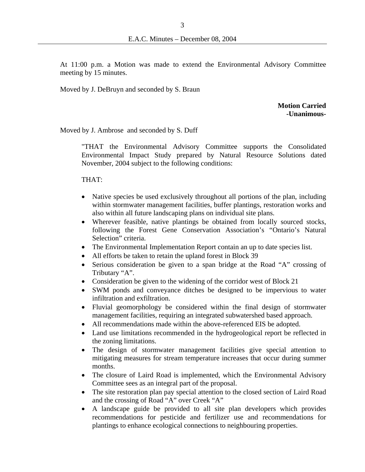At 11:00 p.m. a Motion was made to extend the Environmental Advisory Committee meeting by 15 minutes.

Moved by J. DeBruyn and seconded by S. Braun

**Motion Carried -Unanimous-**

Moved by J. Ambrose and seconded by S. Duff

"THAT the Environmental Advisory Committee supports the Consolidated Environmental Impact Study prepared by Natural Resource Solutions dated November, 2004 subject to the following conditions:

THAT:

- Native species be used exclusively throughout all portions of the plan, including within stormwater management facilities, buffer plantings, restoration works and also within all future landscaping plans on individual site plans.
- Wherever feasible, native plantings be obtained from locally sourced stocks, following the Forest Gene Conservation Association's "Ontario's Natural Selection" criteria.
- The Environmental Implementation Report contain an up to date species list.
- All efforts be taken to retain the upland forest in Block 39
- Serious consideration be given to a span bridge at the Road "A" crossing of Tributary "A".
- Consideration be given to the widening of the corridor west of Block 21
- SWM ponds and conveyance ditches be designed to be impervious to water infiltration and exfiltration.
- Fluvial geomorphology be considered within the final design of stormwater management facilities, requiring an integrated subwatershed based approach.
- All recommendations made within the above-referenced EIS be adopted.
- Land use limitations recommended in the hydrogeological report be reflected in the zoning limitations.
- The design of stormwater management facilities give special attention to mitigating measures for stream temperature increases that occur during summer months.
- The closure of Laird Road is implemented, which the Environmental Advisory Committee sees as an integral part of the proposal.
- The site restoration plan pay special attention to the closed section of Laird Road and the crossing of Road "A" over Creek "A"
- A landscape guide be provided to all site plan developers which provides recommendations for pesticide and fertilizer use and recommendations for plantings to enhance ecological connections to neighbouring properties.